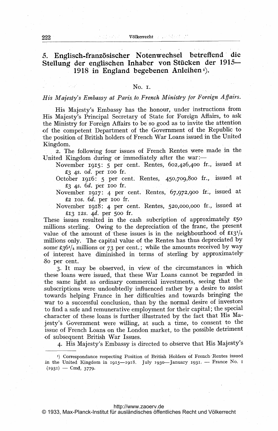### 222 V61kerrecht von Statten und Statten und Statten und Statten und Statten und Statten und Statten und Statten

# 3. Englisch-französischer Notenwechsel betreffend' die Stellung der englischen Inhaber von Stücken der 1915- 1918 in England begebenen Anleihen $\overline{1}$ .

### No. i.

# His Majesty's Embassy at Paris to French Ministry for Foreign Affairs.

His Majesty's Embassy has the honour, under instructions from His Majesty's Principal Secretary of State for Foreign Affairs, to ask the Ministry for Foreign Affairs to be so good as to invite the attention of the competent Department of the Government of the Republic to the position of British holders of French War Loans issued in the United Kingdom.

2. The following four issues of French Rentes were made in the United Kingdom during or immediately after the war:-

November 1915: 5 per cent. Rentes, 602,426,400 fr., issued at  $£3$  4s. od. per 100 fr.

October 1916: 5 per cent. Rentes, 450,709,800 fr., issued at P-3 4s. 6d. per ioo fr.

 $\begin{minipage}[c]{0.4cm}{\text{November}}{\text{ [Fig: 4] per cent. Rentes, [67,972,900] fr.} \end{minipage}}$  $\pounds2$  ios. 6d. per ioo fr.

November 1918: 4 per cent. Rentes, 520,000,000 fr., issued at £13 12s. 4d. per 500 fr.

These issues resulted in the cash subcription of approximately  $$50$ -millions sterling. Owing to the depreciation. of the franc, the present value of the amount of these issues is in the neighbourhood of  $\pounds I3^{1/2}$ . millions only. The capital value of the Rentes has thus depreciated by some £36 $1/2$  millions or 73 per cent.; while the amounts received by way of interest have. diminished in terms of 'sterling by approximately, So per cent.

3. It may be observed, in view of the circumstances in which these loans were issued, that these War Loans cannot be regarded in the same light as ordinary commercial investments, seeing that the subscriptions were undoubtedly influenced rather by a desire to assist towards helping France in her difficulties and towards bringing the war to a successful conclusion, than by the normal desire of investors to find a safe and remunerative employment for their capital; the special character of these loans is further illustrated by the fact that His Majesty's Government were willing, at such <sup>a</sup> time, to consent to the issue of French Loans on the London market, to the possible detriment of subsequent British War Issues.

4. His Majesty's Embassy is directed to observe that His Majesty's

### <http://www.zaoerv.de>

<sup>&</sup>lt;sup>1</sup>) Correspondance respecting Position of British Holders of French Rentes issued <sup>1</sup>) Correspondance respecting Position of British Holders of French Rentes issued<br>in the United Kingdom in 1915—1918. July 1930—January 1931. — France No. 1 n the United Kingdo<br>(1931) — Cm<u>d.</u> 3779.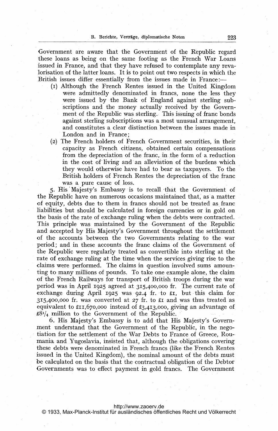Government are aware that the Government of the Republic regard these loans as being on the same footing as the French War Loans issued in France, and that they have refused to contemplate any revalorisation of the latter loans. It is to point out two respects in which the British issues differ essentially from the issues made in France:—

- (I) Although the French Rentes issued in the United Kingdom were admittedly denominated in francs, none the less they were issued by the Bank of England against sterling subscriptions and the money actually received by the Government of the Republic was sterling. This issuing of franc bonds against sterling subscriptions was a most unusual arrangement, and constitutes a clear distinction between the issues made in London and in France;
- (2) The French holders of French Government securities, in their capacity as French citizens, obtained certain compensations from the depreciation of the franc, in.the form of a. reduction in the cost of'living and an alleviation of the burdens which they would otherwise have had to bear as taxpayers. To the British holders of French Rentes the depreciation of the franc was a pure cause of loss.

5. His Majesty's Embassy is to recall that the Government of the Republic have on numerous occasions maintained that, as a matter of equity, debts due to them in francs should not be treated as franc liabilities but should be calculated in foreign currencies or in gold on the basis of the rate of exchange ruling when the debts were contracted. This principle was maintained by the Government of the Republic and accepted by His Majesty's Government throughout the settlement of the accounts between the two Governments relating to the war period; and in these accounts the franc claims of the Government of the Republic were regularly treated as convertible into sterling at the 'rate of exchange ruling at the time when the services giving rise to the claims were performed. The claims in question involved sums amounting to many millions of pounds. To take one example alone, the claim of the French Railways for transport of British troops during the war period was in April 1925 agreed at 315,400,000 fr. The current rate of exchange during April 1925 was 92.4 fr. to £1, but this claim for  $315,400,000$  fr. was converted at  $27$  fr. to £1 and was thus treated as equivalent to  $\text{£II},670,000$  instead of £3,4I3,000, giving an advantage of  $\pounds8^{1}/4$  million to the Government of the Republic.

6. His Majesty's Embassy is to add that His Majesty's Government understand that the Government of the Republic, in the negotiation for the settlement of the War Debts to France of Greece, Roumania and Yugoslavia, insisted that, although the obligations covering these debts were denominated in French francs (like the French Rentes issued in the United Kingdom), the nominal amount of the debts must be calculated on the basis that the contractual obligation of the Debtor Governments was to effect payment in gold francs. The Government

<http://www.zaoerv.de>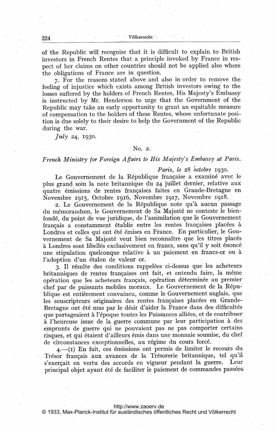of the Republic. will recognise that it is difficult to explain to British investors in French Rentes that a principle invoked by France in respect of her claims on other countries should not be applied also where the obligations of France are in question.

7. For the reasons stated above and also in order to remove the feeling of injustice which exists among British investors owing to the losses suffered by the holders of French Rentes, His Majesty's Embassy is instructed by Mr. Henderson to urge that the Government of the Republic may take an early opportunity to grant an equitable measure of compensation to the holders of these Rentes, whose unfortunate position is due solely to their desire to help the Government of the Republic during the war.

 $Iulv 24, 1930.$ 

### No. 2.

# French Ministry for Foreign Aflairs to His Majesty's Embassy at Paris,

### Paris, le 28 octobre 1930.

Le Gouvernement de la République française a examiné avec le plus grand soin la note britannique du 24 juillet dernier, relative aux quatre 6missions de rentes frangaises faites en Grande-Bretagne en Novembre 1915, Octobre 1916, Novembre 1917, Novembre 1918.

2. Le Gouvernement de la République note qu'à aucun passage du mémorandum, le Gouvernement de Sa Majesté ne conteste le bienfond6, du point- de vue juridique, de I'assimilation que le Gouvernement français a constamment établie entre les rentes françaises placées à Londres et celles qui ont 6t6 6mises en France. En particulier, le Gouvernement de Sa Majesté veut bien reconnaître que les titres placés à Londres sont libellés exclusivement en francs, sans qu'il y soit énoncé une stipulation quelconque relative à un paiement en francs-or ou à l'adoption d'un étalon de valeur or.

3. Il résulte des conditions rappelées ci-dessus que les acheteurs britanniques de rentes françaises ont fait, et entendu faire, la même opération que les acheteurs français, opération déterminée au premier chef par de puissants mobiles moraux. Le Gouvernement de la République est entièrement convaincu, comme le Gouvernement anglais, que les souscripteurs originaires des rentes françaises placées en Grande-Bretagne ont été mus par le désir d'aider la France dans des difficultés que partageaient à l'époque toutes les Puissances alliées, et de contribuer à l'heureuse issue de la guerre commune par leur participation à des emprunts de guerre qui ne pouvaient pas ne pas comporter certains risques, et qui étaient d'ailleurs émis dans une monnaie soumise, du chef de circonstances exceptionnelles, au régime du cours forcé.

4.-(1) En fait, ces 6missions ont permis de. limiter le recours du Trésor français aux avances de la Trésorerie britannique, tel qu'il s'exerçait en vertu des accords en vigueur pendant la guerre. Leur principal objet ayant été de faciliter le paiement de commandes passées

### <http://www.zaoerv.de>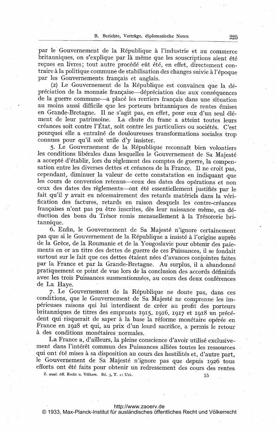par le Gouvernement de la République à l'industrie et au commerce britanniques, on s'explique par là même que les souscriptions aient été recues en livres; tout autre procédé eût été, en effet, directement contraire à la politique commune de stabilisation des changes suivie à l'époque par les Gouvernements frangais et anglais.

(2) Le Gouvernement de la République est convaincu que la dépréciation de la monnaie française—dépréciation due aux conséquences de la guerre commune-a placé les rentiers français dans une situation au moins aussi difficile que les porteurs britanniques de rentes 6mises en Grande-Bretagne. Il ne s'agit pas, en effet, pour eux d'un seul élément de leur patrimoine. La chute du franc <sup>a</sup> atteint toutes leurs créances soit contre l'État, soit contre les particuliers ou sociétés. C'est pourquoi elle a entraîné de douloureuses transformations sociales trop connues pour qu'il soit utile d'y insister.

5. Le Gouvernement de la République reconnaît bien volontiers les conditions libérales dans lesquelles le Gouvernement de Sa Majesté a accepté d'établir, lors du règlement des comptes de guerre, la compensation entre les diverses dettes et créances de la France. Il ne croit pas, cependant, diminuer la valeur de cette constatation en indiquant que les cours de conversion retenus-ceux des dates des opérations et non ceux des dates des règlements-ont été essentiellement justifiés par le fait qu'il y avait eu nécessairement des retards matériels dans la vérification des factures, retards en raison desquels les contre-créances françaises n'ont pas pu être inscrites, dès leur naissance même, en déduction des bons du Trésor remis mensuellement à la Trésorerie britannique.

6. Enfin, le Gouvernement de Sa Majesté n'ignore certainement pas que si le Gouvernement de la République a insisté à l'origine auprès de la Grèce, de la Roumanie et de la Yougoslavie pour obtenir des paiements en or au titre des dettes de guerre de ces Puissances, il se fondait surtout sur le fait que ces dettes 6taient n6es d'avances conjointes faites par la France et par la Grande-Bretagne. Au surplus, il a abandonné pratiquement ce point de vue lors de la conclusion des accords d6finitifs avec les trois Puissances susmentionnées, au cours des deux conférences de La Haye.

7. Le Gouvernement de la République ne doute pas, dans ces conditions, que le Gouvernement de Sa Majesté ne comprenne les imp6rieuses raisons qui lui interdisent de. creer au profit des porteurs britanniques de titres des emprunts 1915, 1916, 1917 et 1918 un précédent qui-risquerait de saper à la base la réforme monétaire opérée en France en 1928 et qui, au prix d'un lourd sacrifice, a permis le retour à des conditions monétaires normales.

La France a, d'ailleurs, la pleine conscience d'avoir utilisé exclusivement dans l'intérêt commun des Puissances alliées toutes les ressources qui ont été mises à sa disposition au cours des hostilités et, d'autre part, le Gouvernement de Sa Majesté n'ignore pas que depuis 1926 tous efforts ont 6t6 faits pour obtenir un redressement des cours des rentes,

Z. ausl. öff. Recht u. Völkerr. Bd. 3, T. 2: Urk. 15

### <http://www.zaoerv.de>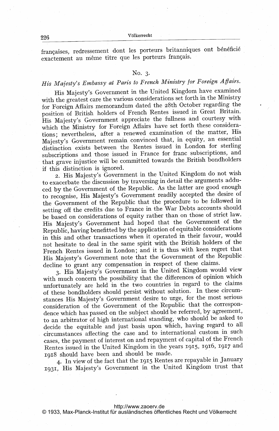226 V61kerrecht

françaises, redressement dont les porteurs britanniques ont bénéficié exactement au même titre que les porteurs français.

## No. 3.

# His Majesty's Embassy at Paris to French Ministry for Foreign Affairs.

His Majesty's Government in the United Kingdom have examined with the greatest care the various considerations set forth in the Ministry for Foreign Affairs memorandum dated the 28th October regarding the position of British holders of French Rentes issued in Great Britain. His Majesty's Government appreciate the fullness and courtesy with which the Ministry for Foreign Affairs have set forth these considerations; nevertheless, after a renewed examination of the matter, His Majesty's Government remain convinced that, in equity, an essential distinction exists between the Rentes issued in London for sterling subscriptions and 'those issued in France for franc subscriptions, and that grave injustice will be committed towards the British bondholders if this distinction is ignored.

2. His Majesty's Government in the United Kingdom do not wish to exacerbate the discussion by traversing in detail the arguments adduced by the Government of the Republic. As the latter are good enough to recognise, His Majesty's Government readily accepted the desire of the Government of the Republic that the procedure to be followed in setting off the credits due to France in the War Debts accounts should be based on considerations of equity rather than on those of strict law. His Majesty's Government had hoped that the Government of the Republic, having benefitted by the application of equitable considerations in this and other transactions when it operated in their favour, would not hesitate to deal in the same spirit with the British holders of the French Rentes issued in London; and it is thus with keen regret that His Majesty's Government note that the Government of the Republic decline to grant any compensation in respect of these claims.

3. His Majesty's Government in the United Kingdom would view with much concern the possibility that the differences of opinion which unfortunately are held in the two countries in regard to the claims of these bondholders should persist without solution. In these circumstances His Majesty's Government desire to urge, for the most serious consideration of the Government of the Republic that the correspondence which has passed on the subject should be referred, by agreement, to an arbitrator of high international standing, who should be asked to decide the equitable and just basis, upon which, having regard to all circumstances affecting the case and to international custom in such -cases, the payment of interest on and repayment of capital of the French Rentes issued in the United Kingdom in the years 1915, 1916, 1917 and 1918 should have been and should be made.

4. In view of the fact that the 1915 Rentes are repayable in January 1931, His Majesty's Government. in the United Kingdom trust that

### <http://www.zaoerv.de>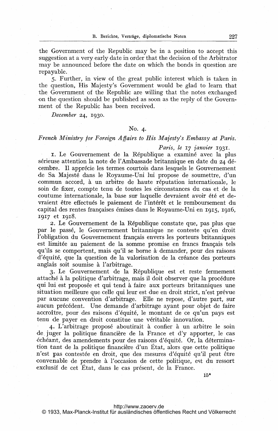the Government of the Republic may be in <sup>a</sup> position to accept this suggestion at a very early date in order that the decision of the Arbitrator may be announced before the date on which the bonds in question are repayable.

5. Further, in view of the great public interest which is taken in the question, His Majesty's Government would be glad to learn that the Government of the Republic are willing that the notes exchanged on the question should be published as soon as the reply of the Government of the Republic has been received.

December 24, 1930.

## No. 4.

# French Ministry for Foreign Affairs to His Majesty's Embassy at Paris.

### Paris, le 17 janvier 1931.

r. Le Gouvernement de la République a examiné avec la plus sérieuse attention la note de l'Ambassade britannique en date du 24 décembre. Il apprécie les termes courtois dans lesquels le Gouvernement de Sa Majesté dans le Royaume-Uni lui propose de soumettre, d'un commun accord, à un arbitre de haute réputation internationale, le soin de fixer, compte tenu de toutes les circonstances du cas et, de la coutume internationale, la base sur laquelle devraient avoir été et devraient être effectués le paiement de l'intérêt et le remboursement du capital des rentes françaises émises dans le Royaume-Uni en 1915, 1916, 1917 et 1918.

2. Le Gouvernement de la R6publique constate que, pas plus que par le passé, le Gouvernement britannique ne conteste qu'en droit l'obligation du Gouvernement frangais envers les porteurs britanniques est limitée au paiement de la somme promise en francs français tels qu'ils se comportent, mais qu'il se borne a demander, pour des raisons d'équité, que la question de la valorisation de la créance des porteurs anglais soit soumise à l'arbitrage.

3. Le Gouvernement de la R6publique est et. reste fermement attaché à la politique d'arbitrage, mais il doit observer que la procédure qui lui est proposée et qui tend à faire aux porteurs britanniques une situation meilleure que celle qui leur est due en droit strict, n'est prévue par aucune convention d'arbitrage. Elle ne repose, d'autre part, sur aucun précédent. Une demande d'arbitrage ayant pour objet de faire accroitre, pour des raisons d'6quit6, le montant de ce qu'un pays est tenu de payer en droit constitue une véritable innovation.

4. L'arbitrage proposé aboutirait à confier à un arbitre le soin de juger la politique financière de la France et d'y apporter, le cas échéant, des amendements pour des raisons d'équité. Or, la détermination tant de la politique financière d'un Etat, alors que cette politique n'est pas contestée en droit, que des mesures d'équité qu'il peut être convenable de prendre à l'occasion de cette politique, est du ressort exclusif de cet Etat, dans le cas présent, de la France.

15\*

### <http://www.zaoerv.de>